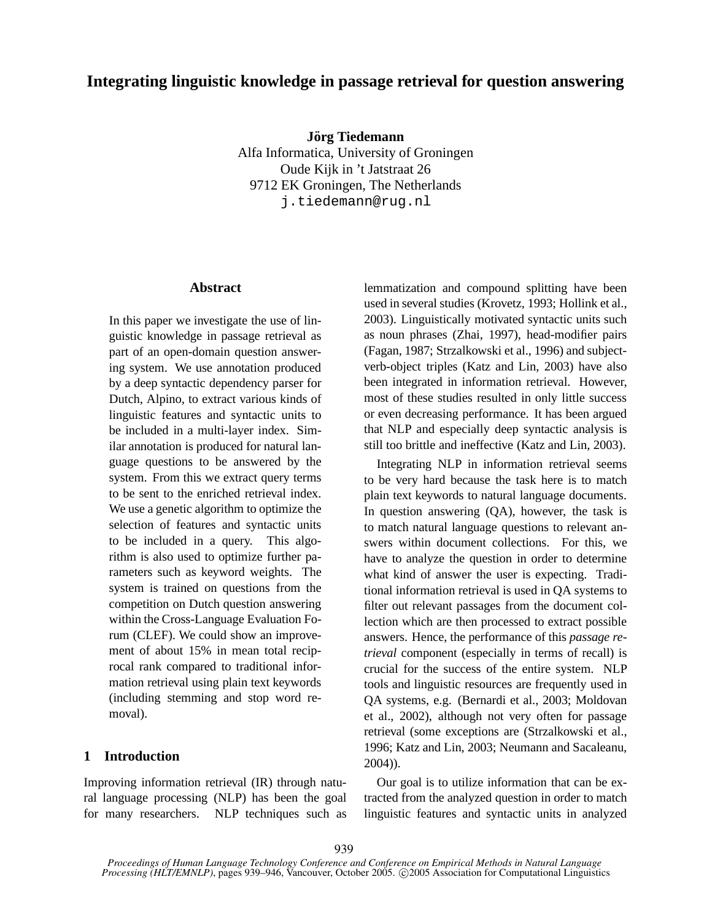# **Integrating linguistic knowledge in passage retrieval for question answering**

**Jörg** Tiedemann Alfa Informatica, University of Groningen Oude Kijk in 't Jatstraat 26 9712 EK Groningen, The Netherlands j.tiedemann@rug.nl

# **Abstract**

In this paper we investigate the use of linguistic knowledge in passage retrieval as part of an open-domain question answering system. We use annotation produced by a deep syntactic dependency parser for Dutch, Alpino, to extract various kinds of linguistic features and syntactic units to be included in a multi-layer index. Similar annotation is produced for natural language questions to be answered by the system. From this we extract query terms to be sent to the enriched retrieval index. We use a genetic algorithm to optimize the selection of features and syntactic units to be included in a query. This algorithm is also used to optimize further parameters such as keyword weights. The system is trained on questions from the competition on Dutch question answering within the Cross-Language Evaluation Forum (CLEF). We could show an improvement of about 15% in mean total reciprocal rank compared to traditional information retrieval using plain text keywords (including stemming and stop word removal).

# **1 Introduction**

Improving information retrieval (IR) through natural language processing (NLP) has been the goal for many researchers. NLP techniques such as lemmatization and compound splitting have been used in several studies (Krovetz, 1993; Hollink et al., 2003). Linguistically motivated syntactic units such as noun phrases (Zhai, 1997), head-modifier pairs (Fagan, 1987; Strzalkowski et al., 1996) and subjectverb-object triples (Katz and Lin, 2003) have also been integrated in information retrieval. However, most of these studies resulted in only little success or even decreasing performance. It has been argued that NLP and especially deep syntactic analysis is still too brittle and ineffective (Katz and Lin, 2003).

Integrating NLP in information retrieval seems to be very hard because the task here is to match plain text keywords to natural language documents. In question answering (QA), however, the task is to match natural language questions to relevant answers within document collections. For this, we have to analyze the question in order to determine what kind of answer the user is expecting. Traditional information retrieval is used in QA systems to filter out relevant passages from the document collection which are then processed to extract possible answers. Hence, the performance of this *passage retrieval* component (especially in terms of recall) is crucial for the success of the entire system. NLP tools and linguistic resources are frequently used in QA systems, e.g. (Bernardi et al., 2003; Moldovan et al., 2002), although not very often for passage retrieval (some exceptions are (Strzalkowski et al., 1996; Katz and Lin, 2003; Neumann and Sacaleanu, 2004)).

Our goal is to utilize information that can be extracted from the analyzed question in order to match linguistic features and syntactic units in analyzed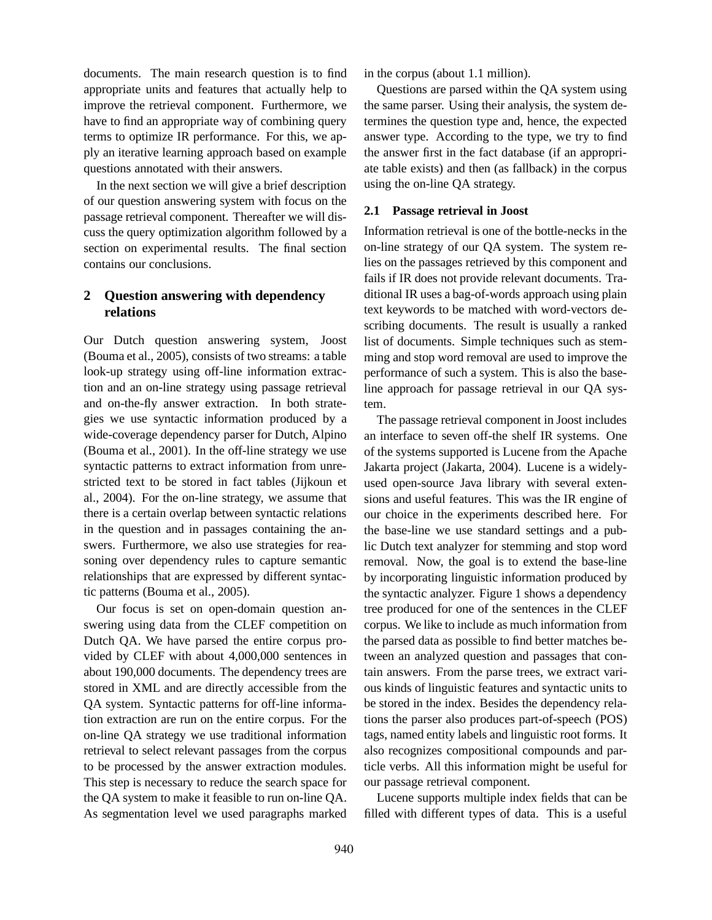documents. The main research question is to find appropriate units and features that actually help to improve the retrieval component. Furthermore, we have to find an appropriate way of combining query terms to optimize IR performance. For this, we apply an iterative learning approach based on example questions annotated with their answers.

In the next section we will give a brief description of our question answering system with focus on the passage retrieval component. Thereafter we will discuss the query optimization algorithm followed by a section on experimental results. The final section contains our conclusions.

# **2 Question answering with dependency relations**

Our Dutch question answering system, Joost (Bouma et al., 2005), consists of two streams: a table look-up strategy using off-line information extraction and an on-line strategy using passage retrieval and on-the-fly answer extraction. In both strategies we use syntactic information produced by a wide-coverage dependency parser for Dutch, Alpino (Bouma et al., 2001). In the off-line strategy we use syntactic patterns to extract information from unrestricted text to be stored in fact tables (Jijkoun et al., 2004). For the on-line strategy, we assume that there is a certain overlap between syntactic relations in the question and in passages containing the answers. Furthermore, we also use strategies for reasoning over dependency rules to capture semantic relationships that are expressed by different syntactic patterns (Bouma et al., 2005).

Our focus is set on open-domain question answering using data from the CLEF competition on Dutch QA. We have parsed the entire corpus provided by CLEF with about 4,000,000 sentences in about 190,000 documents. The dependency trees are stored in XML and are directly accessible from the QA system. Syntactic patterns for off-line information extraction are run on the entire corpus. For the on-line QA strategy we use traditional information retrieval to select relevant passages from the corpus to be processed by the answer extraction modules. This step is necessary to reduce the search space for the QA system to make it feasible to run on-line QA. As segmentation level we used paragraphs marked in the corpus (about 1.1 million).

Questions are parsed within the QA system using the same parser. Using their analysis, the system determines the question type and, hence, the expected answer type. According to the type, we try to find the answer first in the fact database (if an appropriate table exists) and then (as fallback) in the corpus using the on-line QA strategy.

# **2.1 Passage retrieval in Joost**

Information retrieval is one of the bottle-necks in the on-line strategy of our QA system. The system relies on the passages retrieved by this component and fails if IR does not provide relevant documents. Traditional IR uses a bag-of-words approach using plain text keywords to be matched with word-vectors describing documents. The result is usually a ranked list of documents. Simple techniques such as stemming and stop word removal are used to improve the performance of such a system. This is also the baseline approach for passage retrieval in our QA system.

The passage retrieval component in Joost includes an interface to seven off-the shelf IR systems. One of the systems supported is Lucene from the Apache Jakarta project (Jakarta, 2004). Lucene is a widelyused open-source Java library with several extensions and useful features. This was the IR engine of our choice in the experiments described here. For the base-line we use standard settings and a public Dutch text analyzer for stemming and stop word removal. Now, the goal is to extend the base-line by incorporating linguistic information produced by the syntactic analyzer. Figure 1 shows a dependency tree produced for one of the sentences in the CLEF corpus. We like to include as much information from the parsed data as possible to find better matches between an analyzed question and passages that contain answers. From the parse trees, we extract various kinds of linguistic features and syntactic units to be stored in the index. Besides the dependency relations the parser also produces part-of-speech (POS) tags, named entity labels and linguistic root forms. It also recognizes compositional compounds and particle verbs. All this information might be useful for our passage retrieval component.

Lucene supports multiple index fields that can be filled with different types of data. This is a useful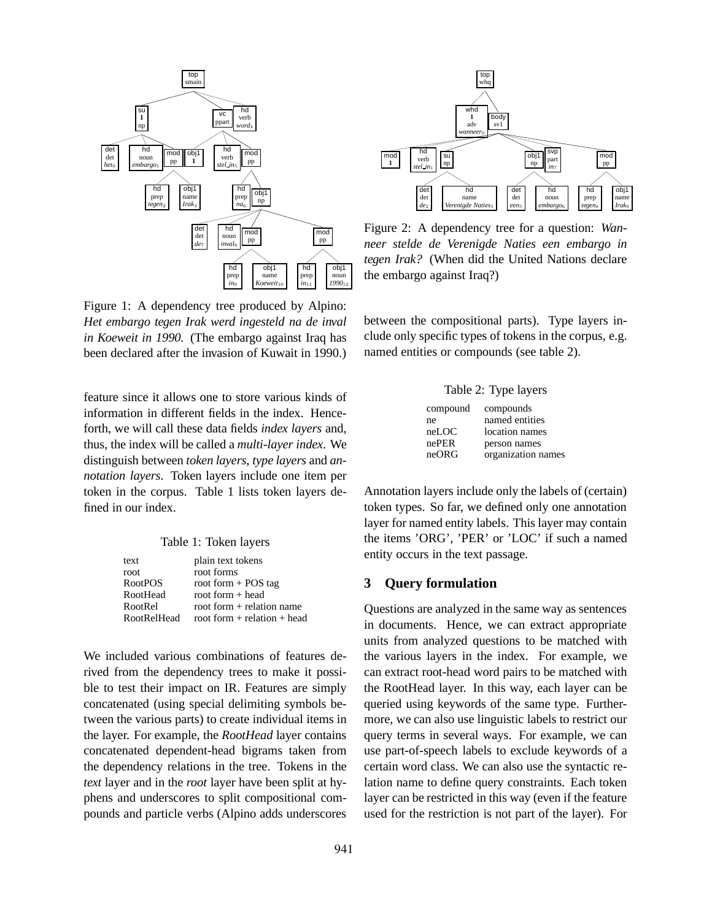

Figure 1: A dependency tree produced by Alpino: *Het embargo tegen Irak werd ingesteld na de inval in Koeweit in 1990.* (The embargo against Iraq has been declared after the invasion of Kuwait in 1990.)

feature since it allows one to store various kinds of information in different fields in the index. Henceforth, we will call these data fields *index layers* and, thus, the index will be called a *multi-layer index*. We distinguish between *token layers*, *type layers* and *annotation layers*. Token layers include one item per token in the corpus. Table 1 lists token layers defined in our index.

#### Table 1: Token layers

| text               | plain text tokens               |
|--------------------|---------------------------------|
| root               | root forms                      |
| <b>RootPOS</b>     | root form $+$ POS tag           |
| RootHead           | root form $+$ head              |
| RootRel            | root form $+$ relation name     |
| <b>RootRelHead</b> | root form $+$ relation $+$ head |

We included various combinations of features derived from the dependency trees to make it possible to test their impact on IR. Features are simply concatenated (using special delimiting symbols between the various parts) to create individual items in the layer. For example, the *RootHead* layer contains concatenated dependent-head bigrams taken from the dependency relations in the tree. Tokens in the *text* layer and in the *root* layer have been split at hyphens and underscores to split compositional compounds and particle verbs (Alpino adds underscores



Figure 2: A dependency tree for a question: *Wanneer stelde de Verenigde Naties een embargo in tegen Irak?* (When did the United Nations declare the embargo against Iraq?)

between the compositional parts). Type layers include only specific types of tokens in the corpus, e.g. named entities or compounds (see table 2).

#### Table 2: Type layers

| compound | compounds          |
|----------|--------------------|
| ne       | named entities     |
| neLOC    | location names     |
| nePER    | person names       |
| neORG    | organization names |

Annotation layers include only the labels of (certain) token types. So far, we defined only one annotation layer for named entity labels. This layer may contain the items 'ORG', 'PER' or 'LOC' if such a named entity occurs in the text passage.

# **3 Query formulation**

Questions are analyzed in the same way as sentences in documents. Hence, we can extract appropriate units from analyzed questions to be matched with the various layers in the index. For example, we can extract root-head word pairs to be matched with the RootHead layer. In this way, each layer can be queried using keywords of the same type. Furthermore, we can also use linguistic labels to restrict our query terms in several ways. For example, we can use part-of-speech labels to exclude keywords of a certain word class. We can also use the syntactic relation name to define query constraints. Each token layer can be restricted in this way (even if the feature used for the restriction is not part of the layer). For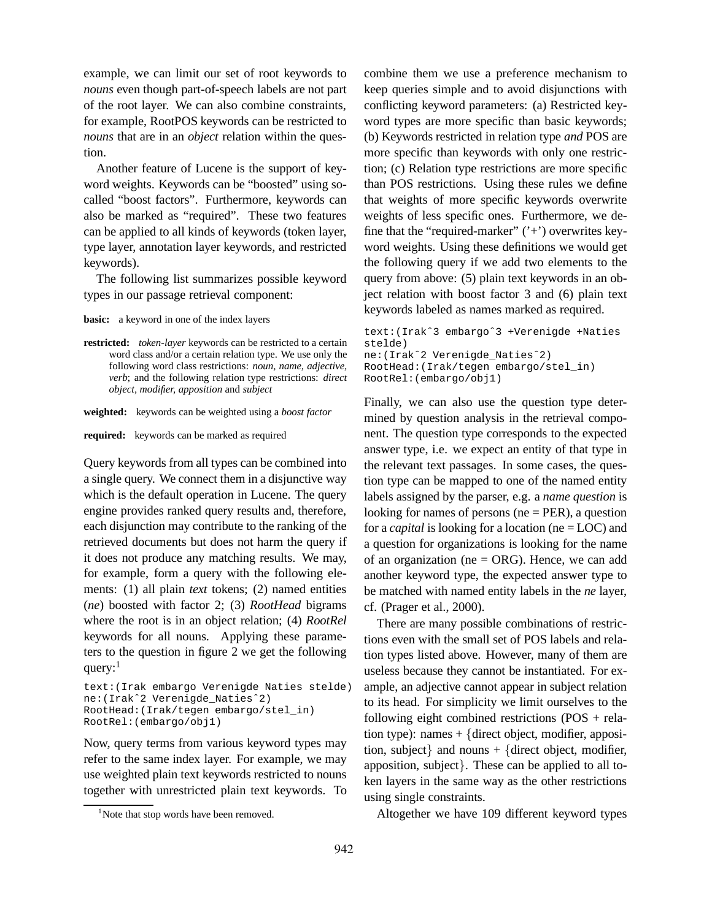example, we can limit our set of root keywords to *nouns* even though part-of-speech labels are not part of the root layer. We can also combine constraints, for example, RootPOS keywords can be restricted to *nouns* that are in an *object* relation within the question.

Another feature of Lucene is the support of keyword weights. Keywords can be "boosted" using socalled "boost factors". Furthermore, keywords can also be marked as "required". These two features can be applied to all kinds of keywords (token layer, type layer, annotation layer keywords, and restricted keywords).

The following list summarizes possible keyword types in our passage retrieval component:

**basic:** a keyword in one of the index layers

**restricted:** *token-layer* keywords can be restricted to a certain word class and/or a certain relation type. We use only the following word class restrictions: *noun, name, adjective, verb*; and the following relation type restrictions: *direct object, modifier, apposition* and *subject*

**weighted:** keywords can be weighted using a *boost factor*

**required:** keywords can be marked as required

Query keywords from all types can be combined into a single query. We connect them in a disjunctive way which is the default operation in Lucene. The query engine provides ranked query results and, therefore, each disjunction may contribute to the ranking of the retrieved documents but does not harm the query if it does not produce any matching results. We may, for example, form a query with the following elements: (1) all plain *text* tokens; (2) named entities (*ne*) boosted with factor 2; (3) *RootHead* bigrams where the root is in an object relation; (4) *RootRel* keywords for all nouns. Applying these parameters to the question in figure 2 we get the following query: $<sup>1</sup>$ </sup>

```
text:(Irak embargo Verenigde Naties stelde)
ne:(Irakˆ2 Verenigde_Natiesˆ2)
RootHead:(Irak/tegen embargo/stel_in)
RootRel:(embargo/obj1)
```
Now, query terms from various keyword types may refer to the same index layer. For example, we may use weighted plain text keywords restricted to nouns together with unrestricted plain text keywords. To combine them we use a preference mechanism to keep queries simple and to avoid disjunctions with conflicting keyword parameters: (a) Restricted keyword types are more specific than basic keywords; (b) Keywords restricted in relation type *and* POS are more specific than keywords with only one restriction; (c) Relation type restrictions are more specific than POS restrictions. Using these rules we define that weights of more specific keywords overwrite weights of less specific ones. Furthermore, we define that the "required-marker"  $(2+1)$  overwrites keyword weights. Using these definitions we would get the following query if we add two elements to the query from above: (5) plain text keywords in an object relation with boost factor 3 and (6) plain text keywords labeled as names marked as required.

```
text:(Irakˆ3 embargoˆ3 +Verenigde +Naties
stelde)
ne:(Irakˆ2 Verenigde_Natiesˆ2)
RootHead:(Irak/tegen embargo/stel_in)
RootRel:(embargo/obj1)
```
Finally, we can also use the question type determined by question analysis in the retrieval component. The question type corresponds to the expected answer type, i.e. we expect an entity of that type in the relevant text passages. In some cases, the question type can be mapped to one of the named entity labels assigned by the parser, e.g. a *name question* is looking for names of persons ( $ne = PER$ ), a question for a *capital* is looking for a location (ne = LOC) and a question for organizations is looking for the name of an organization (ne = ORG). Hence, we can add another keyword type, the expected answer type to be matched with named entity labels in the *ne* layer, cf. (Prager et al., 2000).

There are many possible combinations of restrictions even with the small set of POS labels and relation types listed above. However, many of them are useless because they cannot be instantiated. For example, an adjective cannot appear in subject relation to its head. For simplicity we limit ourselves to the following eight combined restrictions  $(POS + rela$ tion type): names  $+$  {direct object, modifier, apposition, subject } and nouns  $+$  {direct object, modifier, apposition, subject}. These can be applied to all token layers in the same way as the other restrictions using single constraints.

Altogether we have 109 different keyword types

<sup>&</sup>lt;sup>1</sup>Note that stop words have been removed.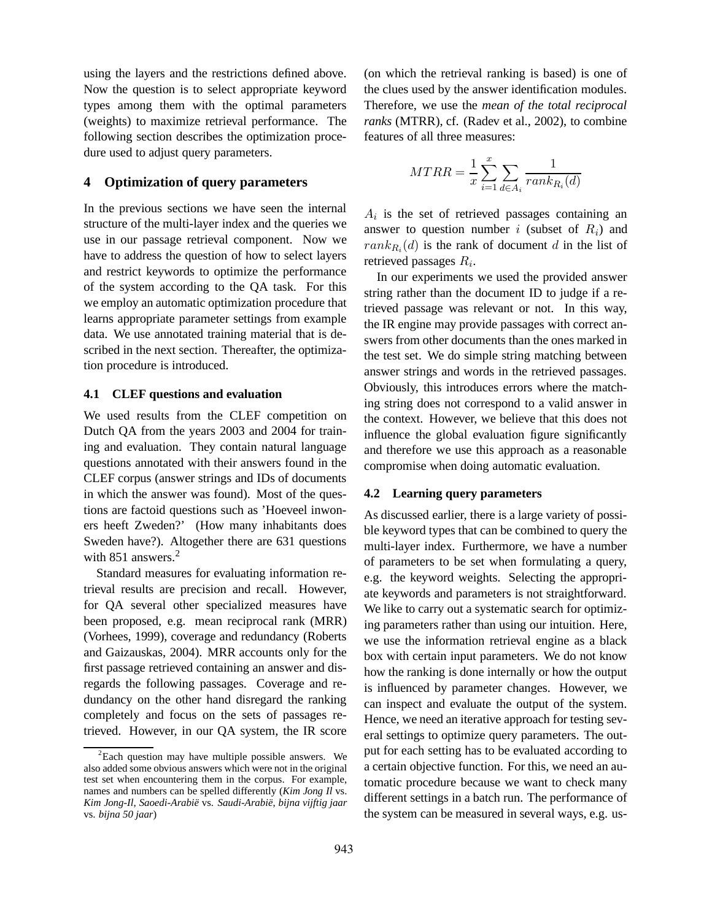using the layers and the restrictions defined above. Now the question is to select appropriate keyword types among them with the optimal parameters (weights) to maximize retrieval performance. The following section describes the optimization procedure used to adjust query parameters.

# **4 Optimization of query parameters**

In the previous sections we have seen the internal structure of the multi-layer index and the queries we use in our passage retrieval component. Now we have to address the question of how to select layers and restrict keywords to optimize the performance of the system according to the QA task. For this we employ an automatic optimization procedure that learns appropriate parameter settings from example data. We use annotated training material that is described in the next section. Thereafter, the optimization procedure is introduced.

#### **4.1 CLEF questions and evaluation**

We used results from the CLEF competition on Dutch QA from the years 2003 and 2004 for training and evaluation. They contain natural language questions annotated with their answers found in the CLEF corpus (answer strings and IDs of documents in which the answer was found). Most of the questions are factoid questions such as 'Hoeveel inwoners heeft Zweden?' (How many inhabitants does Sweden have?). Altogether there are 631 questions with 851 answers.<sup>2</sup>

Standard measures for evaluating information retrieval results are precision and recall. However, for QA several other specialized measures have been proposed, e.g. mean reciprocal rank (MRR) (Vorhees, 1999), coverage and redundancy (Roberts and Gaizauskas, 2004). MRR accounts only for the first passage retrieved containing an answer and disregards the following passages. Coverage and redundancy on the other hand disregard the ranking completely and focus on the sets of passages retrieved. However, in our QA system, the IR score (on which the retrieval ranking is based) is one of the clues used by the answer identification modules. Therefore, we use the *mean of the total reciprocal ranks* (MTRR), cf. (Radev et al., 2002), to combine features of all three measures:

$$
MTRR = \frac{1}{x} \sum_{i=1}^{x} \sum_{d \in A_i} \frac{1}{rank_{R_i}(d)}
$$

 $A_i$  is the set of retrieved passages containing an answer to question number i (subset of  $R_i$ ) and  $rank_{R_i}(d)$  is the rank of document d in the list of retrieved passages  $R_i$ .

In our experiments we used the provided answer string rather than the document ID to judge if a retrieved passage was relevant or not. In this way, the IR engine may provide passages with correct answers from other documents than the ones marked in the test set. We do simple string matching between answer strings and words in the retrieved passages. Obviously, this introduces errors where the matching string does not correspond to a valid answer in the context. However, we believe that this does not influence the global evaluation figure significantly and therefore we use this approach as a reasonable compromise when doing automatic evaluation.

#### **4.2 Learning query parameters**

As discussed earlier, there is a large variety of possible keyword types that can be combined to query the multi-layer index. Furthermore, we have a number of parameters to be set when formulating a query, e.g. the keyword weights. Selecting the appropriate keywords and parameters is not straightforward. We like to carry out a systematic search for optimizing parameters rather than using our intuition. Here, we use the information retrieval engine as a black box with certain input parameters. We do not know how the ranking is done internally or how the output is influenced by parameter changes. However, we can inspect and evaluate the output of the system. Hence, we need an iterative approach for testing several settings to optimize query parameters. The output for each setting has to be evaluated according to a certain objective function. For this, we need an automatic procedure because we want to check many different settings in a batch run. The performance of the system can be measured in several ways, e.g. us-

 $2^2$ Each question may have multiple possible answers. We also added some obvious answers which were not in the original test set when encountering them in the corpus. For example, names and numbers can be spelled differently (*Kim Jong Il* vs. *Kim Jong-Il*, *Saoedi-Arabie¨* vs. *Saudi-Arabie¨*, *bijna vijftig jaar* vs. *bijna 50 jaar*)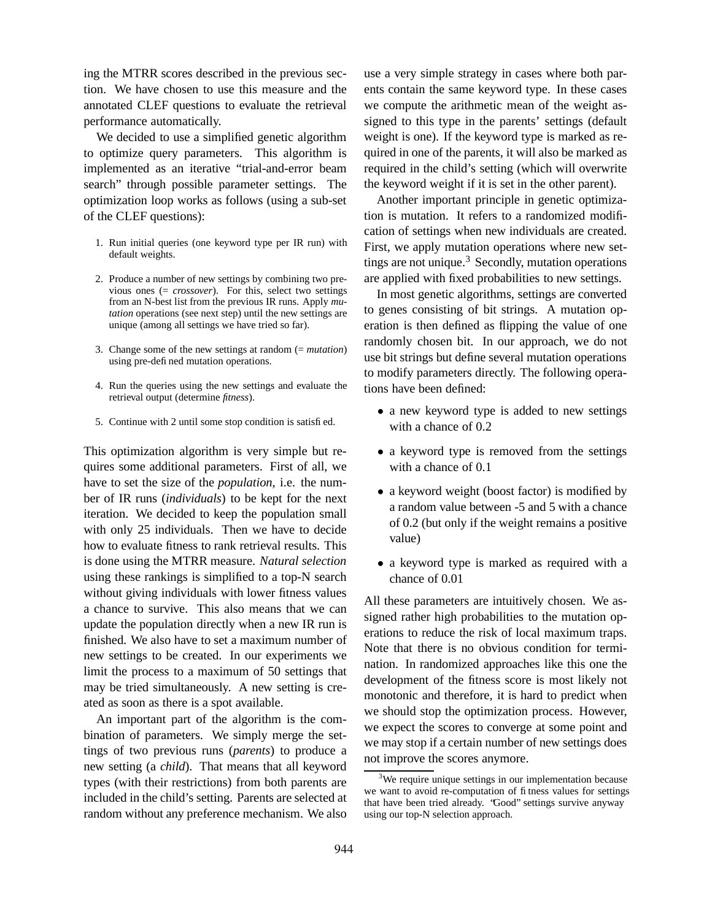ing the MTRR scores described in the previous section. We have chosen to use this measure and the annotated CLEF questions to evaluate the retrieval performance automatically.

We decided to use a simplified genetic algorithm to optimize query parameters. This algorithm is implemented as an iterative "trial-and-error beam search" through possible parameter settings. The optimization loop works as follows (using a sub-set of the CLEF questions):

- 1. Run initial queries (one keyword type per IR run) with default weights.
- 2. Produce a number of new settings by combining two previous ones (= *crossover*). For this, select two settings from an N-best list from the previous IR runs. Apply *mutation* operations (see next step) until the new settings are unique (among all settings we have tried so far).
- 3. Change some of the new settings at random (= *mutation*) using pre-defined mutation operations.
- 4. Run the queries using the new settings and evaluate the retrieval output (determine *fitness*).
- 5. Continue with 2 until some stop condition is satisfied.

This optimization algorithm is very simple but requires some additional parameters. First of all, we have to set the size of the *population*, i.e. the number of IR runs (*individuals*) to be kept for the next iteration. We decided to keep the population small with only 25 individuals. Then we have to decide how to evaluate fitness to rank retrieval results. This is done using the MTRR measure. *Natural selection* using these rankings is simplified to a top-N search without giving individuals with lower fitness values a chance to survive. This also means that we can update the population directly when a new IR run is finished. We also have to set a maximum number of new settings to be created. In our experiments we limit the process to a maximum of 50 settings that may be tried simultaneously. A new setting is created as soon as there is a spot available.

An important part of the algorithm is the combination of parameters. We simply merge the settings of two previous runs (*parents*) to produce a new setting (a *child*). That means that all keyword types (with their restrictions) from both parents are included in the child's setting. Parents are selected at random without any preference mechanism. We also

use a very simple strategy in cases where both parents contain the same keyword type. In these cases we compute the arithmetic mean of the weight assigned to this type in the parents' settings (default weight is one). If the keyword type is marked as required in one of the parents, it will also be marked as required in the child's setting (which will overwrite the keyword weight if it is set in the other parent).

Another important principle in genetic optimization is mutation. It refers to a randomized modification of settings when new individuals are created. First, we apply mutation operations where new settings are not unique. $3$  Secondly, mutation operations are applied with fixed probabilities to new settings.

In most genetic algorithms, settings are converted to genes consisting of bit strings. A mutation operation is then defined as flipping the value of one randomly chosen bit. In our approach, we do not use bit strings but define several mutation operations to modify parameters directly. The following operations have been defined:

- a new keyword type is added to new settings with a chance of 0.2
- a keyword type is removed from the settings with a chance of 0.1
- a keyword weight (boost factor) is modified by a random value between -5 and 5 with a chance of 0.2 (but only if the weight remains a positive value)
- a keyword type is marked as required with a chance of 0.01

All these parameters are intuitively chosen. We assigned rather high probabilities to the mutation operations to reduce the risk of local maximum traps. Note that there is no obvious condition for termination. In randomized approaches like this one the development of the fitness score is most likely not monotonic and therefore, it is hard to predict when we should stop the optimization process. However, we expect the scores to converge at some point and we may stop if a certain number of new settings does not improve the scores anymore.

<sup>&</sup>lt;sup>3</sup>We require unique settings in our implementation because we want to avoid re-computation of fitness values for settings that have been tried already. "Good" settings survive anyway using our top-N selection approach.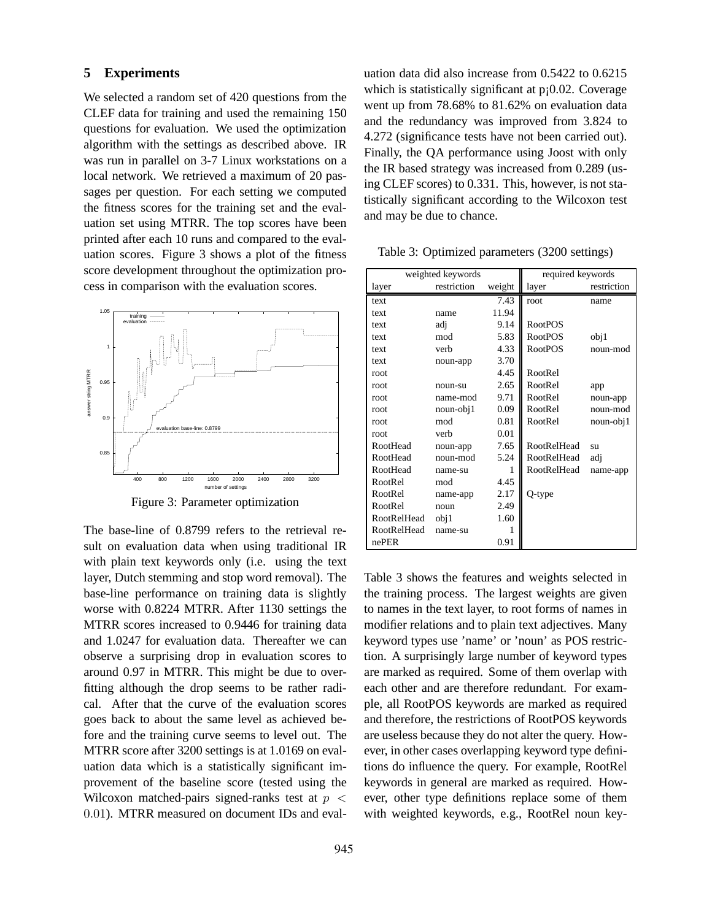# **5 Experiments**

We selected a random set of 420 questions from the CLEF data for training and used the remaining 150 questions for evaluation. We used the optimization algorithm with the settings as described above. IR was run in parallel on 3-7 Linux workstations on a local network. We retrieved a maximum of 20 passages per question. For each setting we computed the fitness scores for the training set and the evaluation set using MTRR. The top scores have been printed after each 10 runs and compared to the evaluation scores. Figure 3 shows a plot of the fitness score development throughout the optimization process in comparison with the evaluation scores.



Figure 3: Parameter optimization

The base-line of 0.8799 refers to the retrieval result on evaluation data when using traditional IR with plain text keywords only (i.e. using the text layer, Dutch stemming and stop word removal). The base-line performance on training data is slightly worse with 0.8224 MTRR. After 1130 settings the MTRR scores increased to 0.9446 for training data and 1.0247 for evaluation data. Thereafter we can observe a surprising drop in evaluation scores to around 0.97 in MTRR. This might be due to overfitting although the drop seems to be rather radical. After that the curve of the evaluation scores goes back to about the same level as achieved before and the training curve seems to level out. The MTRR score after 3200 settings is at 1.0169 on evaluation data which is a statistically significant improvement of the baseline score (tested using the Wilcoxon matched-pairs signed-ranks test at  $p <$ 0.01). MTRR measured on document IDs and eval-

945

uation data did also increase from 0.5422 to 0.6215 which is statistically significant at  $p<sub>i</sub>0.02$ . Coverage went up from 78.68% to 81.62% on evaluation data and the redundancy was improved from 3.824 to 4.272 (significance tests have not been carried out). Finally, the QA performance using Joost with only the IR based strategy was increased from 0.289 (using CLEF scores) to 0.331. This, however, is not statistically significant according to the Wilcoxon test and may be due to chance.

Table 3: Optimized parameters (3200 settings)

| weighted keywords |             |        | required keywords |             |
|-------------------|-------------|--------|-------------------|-------------|
| layer             | restriction | weight | layer             | restriction |
| text              |             | 7.43   | root              | name        |
| text              | name        | 11.94  |                   |             |
| text              | adj         | 9.14   | <b>RootPOS</b>    |             |
| text              | mod         | 5.83   | <b>RootPOS</b>    | obj1        |
| text              | verb        | 4.33   | <b>RootPOS</b>    | noun-mod    |
| text              | noun-app    | 3.70   |                   |             |
| root              |             | 4.45   | RootRel           |             |
| root              | noun-su     | 2.65   | RootRel           | app         |
| root              | name-mod    | 9.71   | RootRel           | noun-app    |
| root              | $noun-obj1$ | 0.09   | RootRel           | noun-mod    |
| root              | mod         | 0.81   | RootRel           | noun-obj1   |
| root              | verb        | 0.01   |                   |             |
| RootHead          | noun-app    | 7.65   | RootRelHead       | su          |
| RootHead          | noun-mod    | 5.24   | RootRelHead       | adj         |
| RootHead          | name-su     | 1      | RootRelHead       | name-app    |
| RootRel           | mod         | 4.45   |                   |             |
| RootRel           | name-app    | 2.17   | $Q$ -type         |             |
| RootRel           | noun        | 2.49   |                   |             |
| RootRelHead       | obj1        | 1.60   |                   |             |
| RootRelHead       | name-su     | 1      |                   |             |
| nePER             |             | 0.91   |                   |             |

Table 3 shows the features and weights selected in the training process. The largest weights are given to names in the text layer, to root forms of names in modifier relations and to plain text adjectives. Many keyword types use 'name' or 'noun' as POS restriction. A surprisingly large number of keyword types are marked as required. Some of them overlap with each other and are therefore redundant. For example, all RootPOS keywords are marked as required and therefore, the restrictions of RootPOS keywords are useless because they do not alter the query. However, in other cases overlapping keyword type definitions do influence the query. For example, RootRel keywords in general are marked as required. However, other type definitions replace some of them with weighted keywords, e.g., RootRel noun key